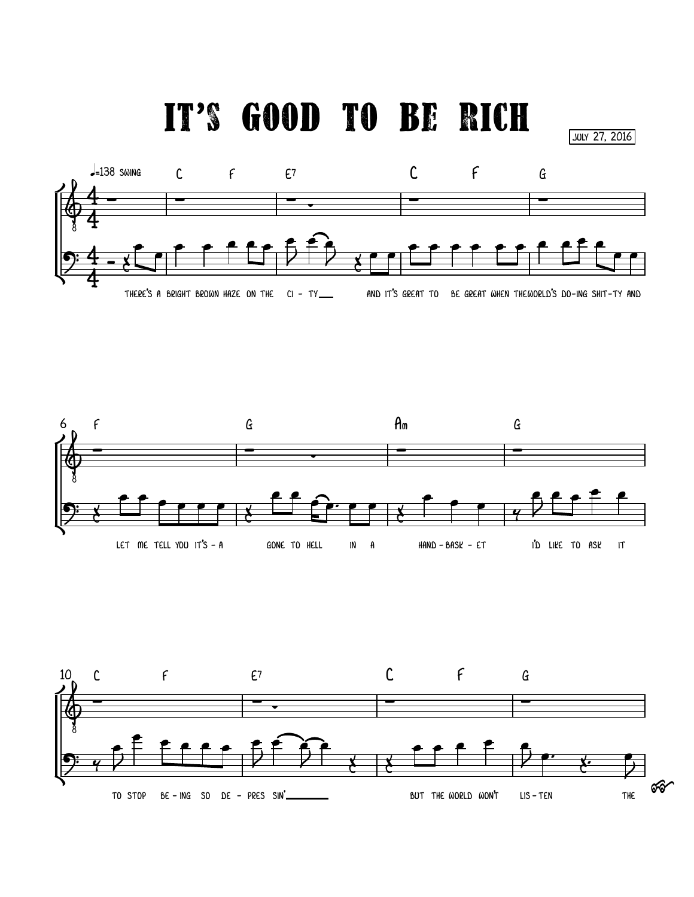it's good to be rich

july 27, 2016





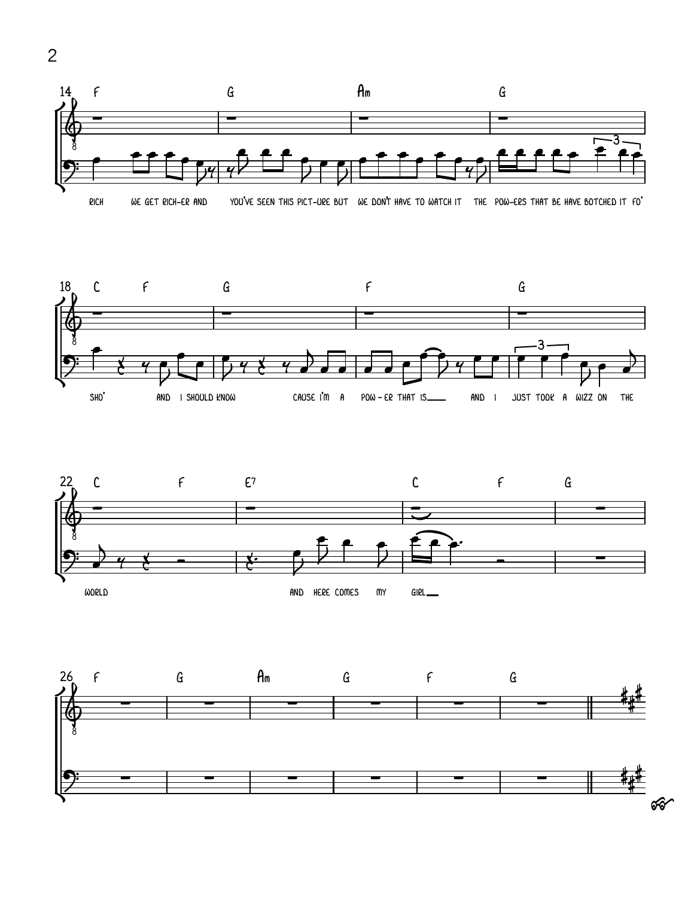







2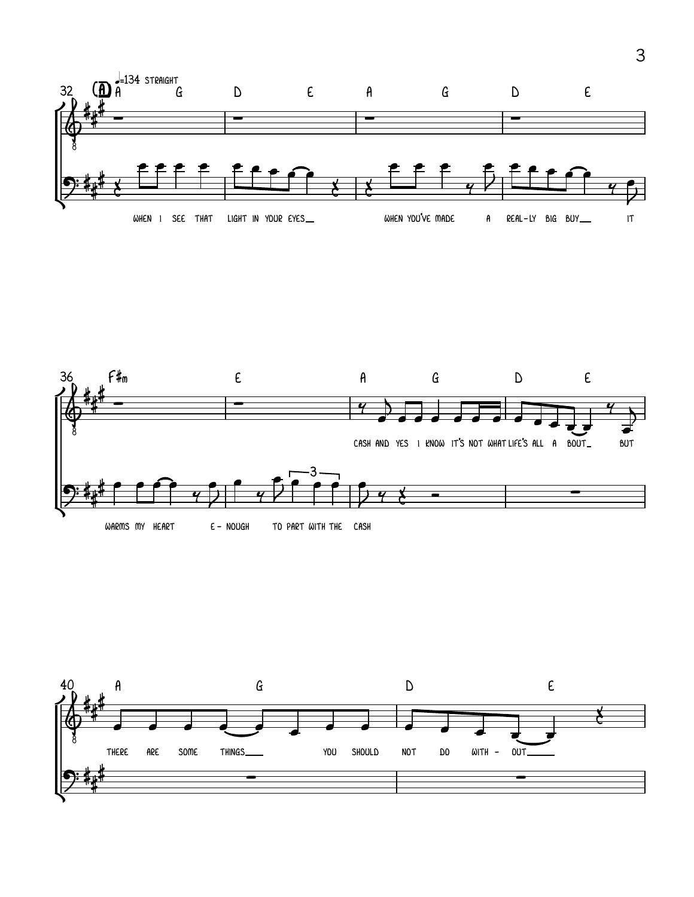



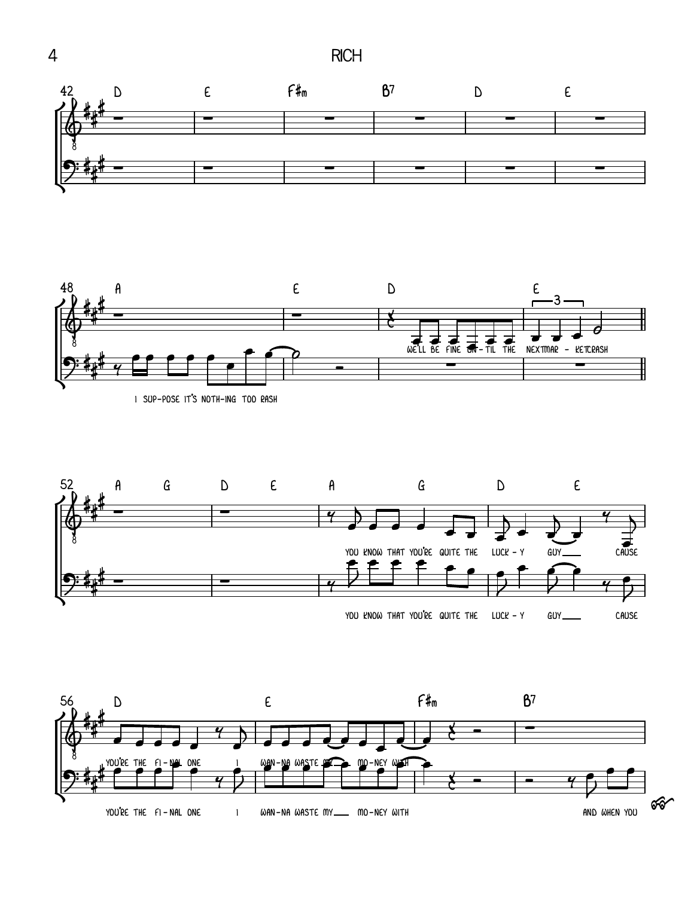



I SUP-POSE IT'S NOTH-ING TOO RASH



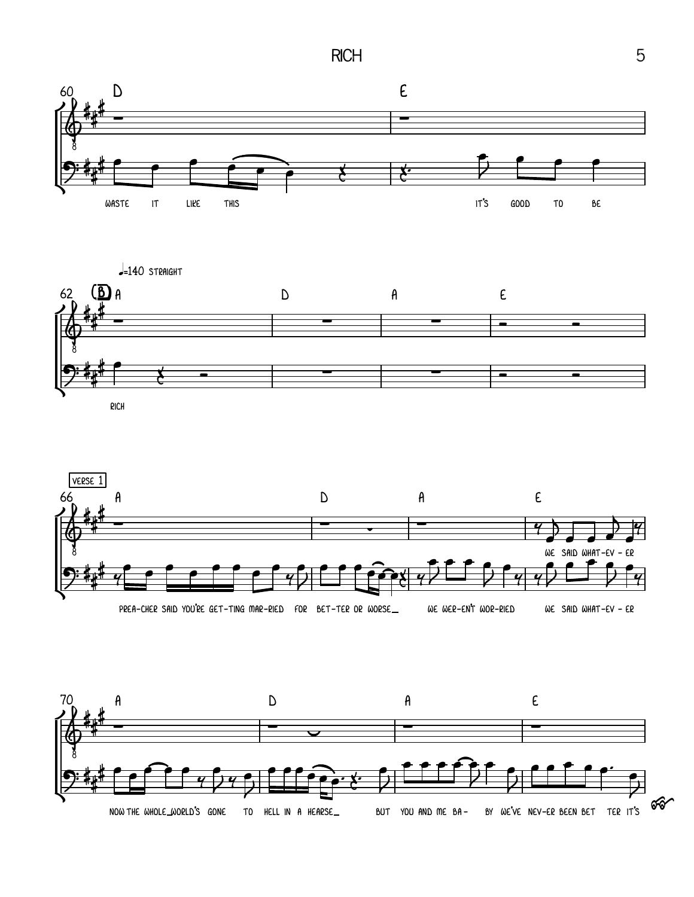$RCH$  5







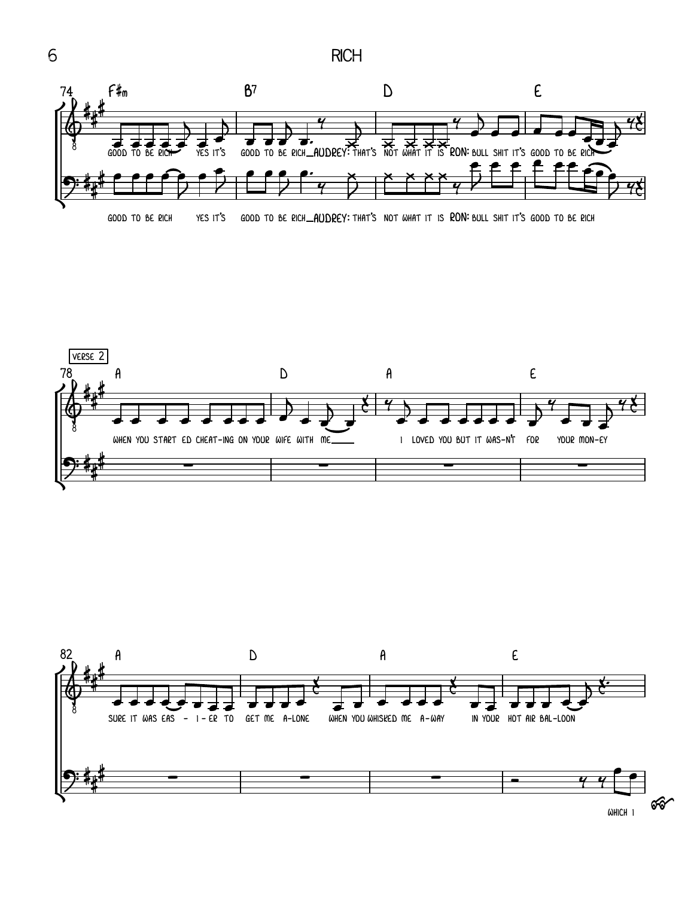





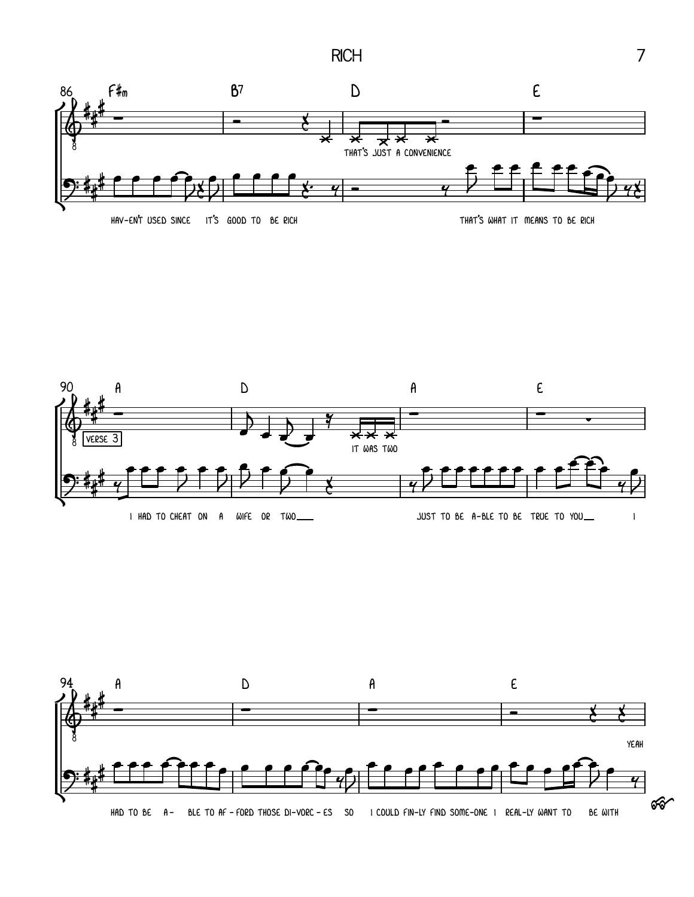**RICH** 







 $\overline{7}$